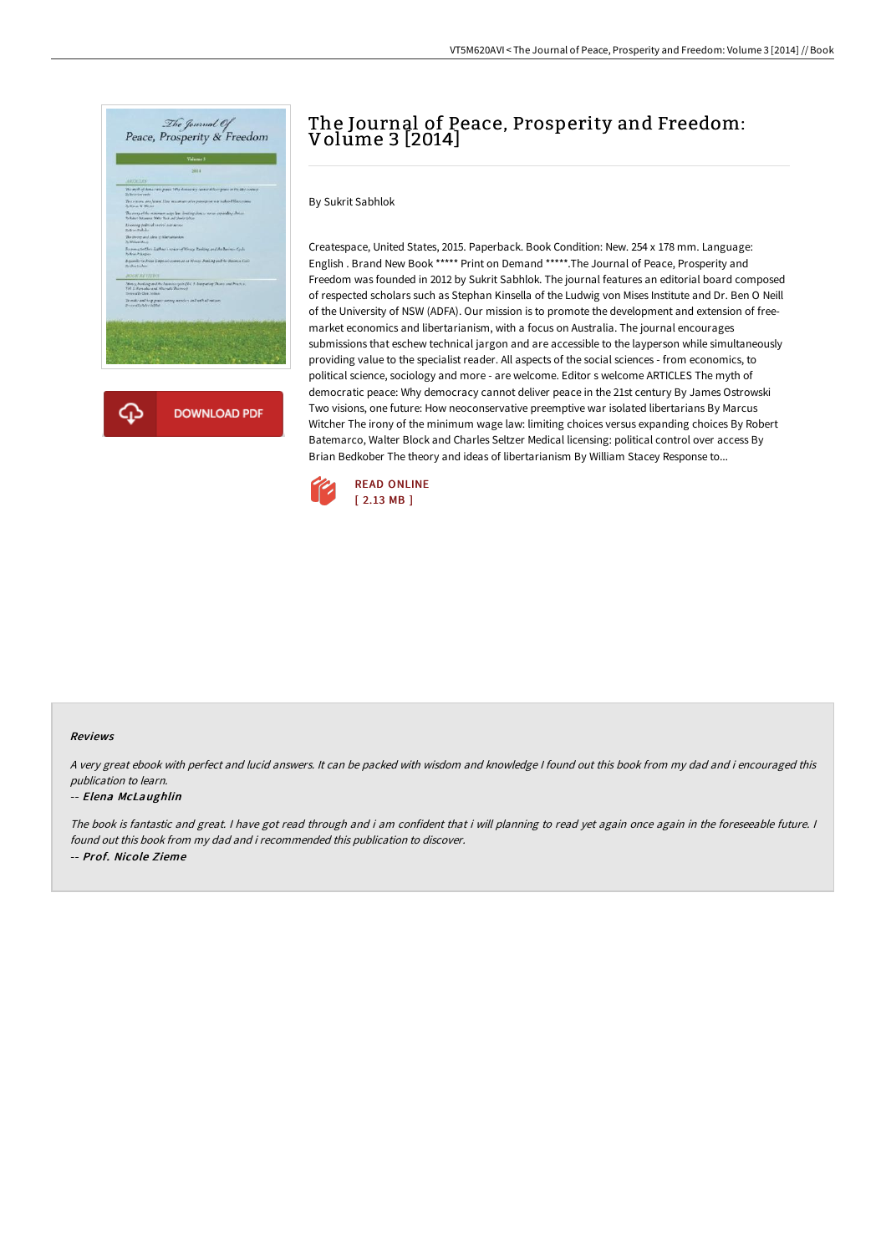

# The Journal of Peace, Prosperity and Freedom: Volume 3 [2014]

By Sukrit Sabhlok

Createspace, United States, 2015. Paperback. Book Condition: New. 254 x 178 mm. Language: English . Brand New Book \*\*\*\*\* Print on Demand \*\*\*\*\*.The Journal of Peace, Prosperity and Freedom was founded in 2012 by Sukrit Sabhlok. The journal features an editorial board composed of respected scholars such as Stephan Kinsella of the Ludwig von Mises Institute and Dr. Ben O Neill of the University of NSW (ADFA). Our mission is to promote the development and extension of freemarket economics and libertarianism, with a focus on Australia. The journal encourages submissions that eschew technical jargon and are accessible to the layperson while simultaneously providing value to the specialist reader. All aspects of the social sciences - from economics, to political science, sociology and more - are welcome. Editor s welcome ARTICLES The myth of democratic peace: Why democracy cannot deliver peace in the 21st century By James Ostrowski Two visions, one future: How neoconservative preemptive war isolated libertarians By Marcus Witcher The irony of the minimum wage law: limiting choices versus expanding choices By Robert Batemarco, Walter Block and Charles Seltzer Medical licensing: political control over access By Brian Bedkober The theory and ideas of libertarianism By William Stacey Response to...



### Reviews

<sup>A</sup> very great ebook with perfect and lucid answers. It can be packed with wisdom and knowledge <sup>I</sup> found out this book from my dad and i encouraged this publication to learn.

### -- Elena McLaughlin

The book is fantastic and great. <sup>I</sup> have got read through and i am confident that i will planning to read yet again once again in the foreseeable future. <sup>I</sup> found out this book from my dad and i recommended this publication to discover. -- Prof. Nicole Zieme